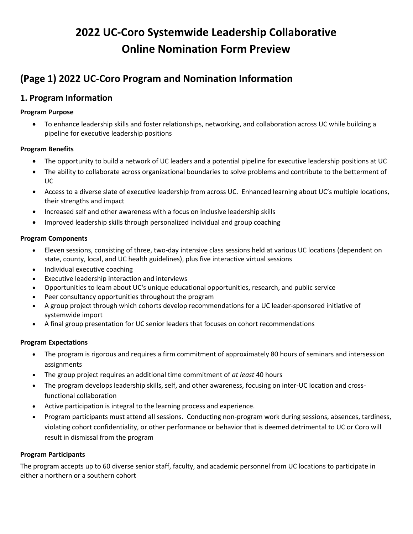# **2022 UC-Coro Systemwide Leadership Collaborative Online Nomination Form Preview**

## **(Page 1) 2022 UC-Coro Program and Nomination Information**

### **1. Program Information**

#### **Program Purpose**

• To enhance leadership skills and foster relationships, networking, and collaboration across UC while building a pipeline for executive leadership positions

#### **Program Benefits**

- The opportunity to build a network of UC leaders and a potential pipeline for executive leadership positions at UC
- The ability to collaborate across organizational boundaries to solve problems and contribute to the betterment of UC
- Access to a diverse slate of executive leadership from across UC. Enhanced learning about UC's multiple locations, their strengths and impact
- Increased self and other awareness with a focus on inclusive leadership skills
- Improved leadership skills through personalized individual and group coaching

#### **Program Components**

- Eleven sessions, consisting of three, two-day intensive class sessions held at various UC locations (dependent on state, county, local, and UC health guidelines), plus five interactive virtual sessions
- Individual executive coaching
- Executive leadership interaction and interviews
- Opportunities to learn about UC's unique educational opportunities, research, and public service
- Peer consultancy opportunities throughout the program
- A group project through which cohorts develop recommendations for a UC leader-sponsored initiative of systemwide import
- A final group presentation for UC senior leaders that focuses on cohort recommendations

#### **Program Expectations**

- The program is rigorous and requires a firm commitment of approximately 80 hours of seminars and intersession assignments
- The group project requires an additional time commitment of *at least* 40 hours
- The program develops leadership skills, self, and other awareness, focusing on inter-UC location and crossfunctional collaboration
- Active participation is integral to the learning process and experience.
- Program participants must attend all sessions. Conducting non-program work during sessions, absences, tardiness, violating cohort confidentiality, or other performance or behavior that is deemed detrimental to UC or Coro will result in dismissal from the program

#### **Program Participants**

The program accepts up to 60 diverse senior staff, faculty, and academic personnel from UC locations to participate in either a northern or a southern cohort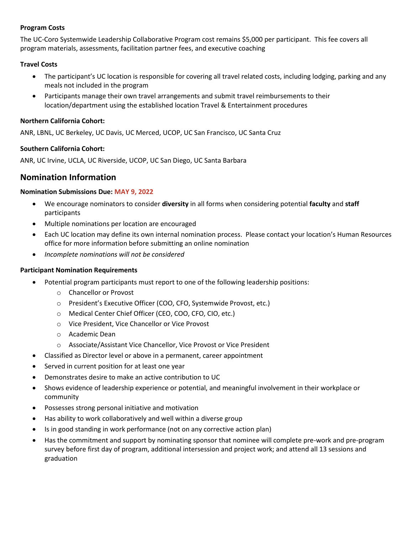#### **Program Costs**

The UC-Coro Systemwide Leadership Collaborative Program cost remains \$5,000 per participant. This fee covers all program materials, assessments, facilitation partner fees, and executive coaching

#### **Travel Costs**

- The participant's UC location is responsible for covering all travel related costs, including lodging, parking and any meals not included in the program
- Participants manage their own travel arrangements and submit travel reimbursements to their location/department using the established location Travel & Entertainment procedures

#### **Northern California Cohort:**

ANR, LBNL, UC Berkeley, UC Davis, UC Merced, UCOP, UC San Francisco, UC Santa Cruz

#### **Southern California Cohort:**

ANR, UC Irvine, UCLA, UC Riverside, UCOP, UC San Diego, UC Santa Barbara

#### **Nomination Information**

#### **Nomination Submissions Due: MAY 9, 2022**

- We encourage nominators to consider **diversity** in all forms when considering potential **faculty** and **staff**  participants
- Multiple nominations per location are encouraged
- Each UC location may define its own internal nomination process. Please contact your location's Human Resources office for more information before submitting an online nomination
- *Incomplete nominations will not be considered*

#### **Participant Nomination Requirements**

- Potential program participants must report to one of the following leadership positions:
	- o Chancellor or Provost
	- o President's Executive Officer (COO, CFO, Systemwide Provost, etc.)
	- o Medical Center Chief Officer (CEO, COO, CFO, CIO, etc.)
	- o Vice President, Vice Chancellor or Vice Provost
	- o Academic Dean
	- o Associate/Assistant Vice Chancellor, Vice Provost or Vice President
- Classified as Director level or above in a permanent, career appointment
- Served in current position for at least one year
- Demonstrates desire to make an active contribution to UC
- Shows evidence of leadership experience or potential, and meaningful involvement in their workplace or community
- Possesses strong personal initiative and motivation
- Has ability to work collaboratively and well within a diverse group
- Is in good standing in work performance (not on any corrective action plan)
- Has the commitment and support by nominating sponsor that nominee will complete pre-work and pre-program survey before first day of program, additional intersession and project work; and attend all 13 sessions and graduation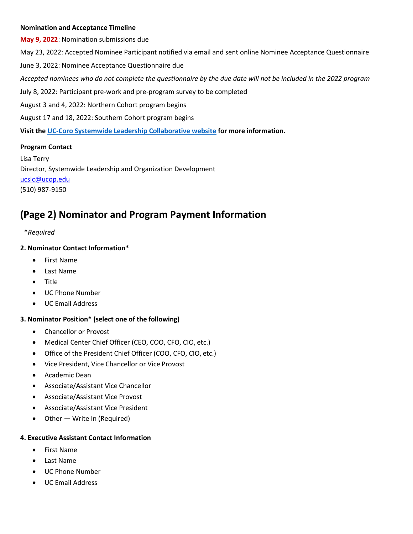#### **Nomination and Acceptance Timeline**

**May 9, 2022**: Nomination submissions due May 23, 2022: Accepted Nominee Participant notified via email and sent online Nominee Acceptance Questionnaire June 3, 2022: Nominee Acceptance Questionnaire due *Accepted nominees who do not complete the questionnaire by the due date will not be included in the 2022 program* July 8, 2022: Participant pre-work and pre-program survey to be completed August 3 and 4, 2022: Northern Cohort program begins August 17 and 18, 2022: Southern Cohort program begins **Visit the [UC-Coro Systemwide Leadership Collaborative website](https://www.ucop.edu/human-resources/coro/index.html) for more information.**

#### **Program Contact**

Lisa Terry Director, Systemwide Leadership and Organization Development [ucslc@ucop.edu](mailto:ucslc@ucop.edu) (510) 987-9150

## **(Page 2) Nominator and Program Payment Information**

#### \**Required*

#### **2. Nominator Contact Information\***

- First Name
- Last Name
- Title
- UC Phone Number
- UC Email Address

#### **3. Nominator Position\* (select one of the following)**

- Chancellor or Provost
- Medical Center Chief Officer (CEO, COO, CFO, CIO, etc.)
- Office of the President Chief Officer (COO, CFO, CIO, etc.)
- Vice President, Vice Chancellor or Vice Provost
- Academic Dean
- Associate/Assistant Vice Chancellor
- Associate/Assistant Vice Provost
- Associate/Assistant Vice President
- Other Write In (Required)

#### **4. Executive Assistant Contact Information**

- First Name
- Last Name
- UC Phone Number
- UC Email Address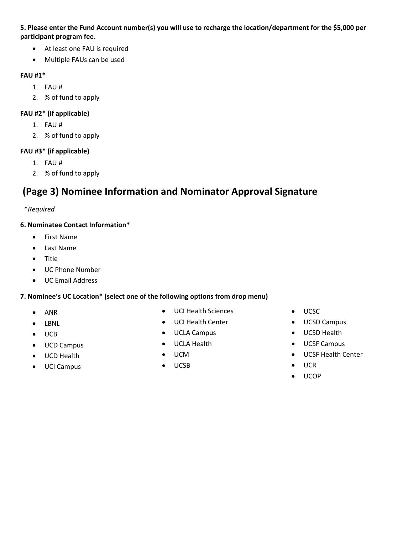#### **5. Please enter the Fund Account number(s) you will use to recharge the location/department for the \$5,000 per participant program fee.**

- At least one FAU is required
- Multiple FAUs can be used

#### **FAU #1\***

- 1. FAU #
- 2. % of fund to apply

#### **FAU #2\* (if applicable)**

- 1. FAU #
- 2. % of fund to apply

#### **FAU #3\* (if applicable)**

- 1. FAU #
- 2. % of fund to apply

## **(Page 3) Nominee Information and Nominator Approval Signature**

#### \**Required*

#### **6. Nominatee Contact Information\***

- First Name
- Last Name
- Title
- UC Phone Number
- UC Email Address

#### **7. Nominee's UC Location\* (select one of the following options from drop menu)**

- ANR
- LBNL
- UCB
- UCD Campus
- UCD Health
- UCI Campus
- UCI Health Sciences
- UCI Health Center
- UCLA Campus
- UCLA Health
- UCM
- UCSB
- UCSC
- UCSD Campus
- UCSD Health
- UCSF Campus
- UCSF Health Center
- UCR
- UCOP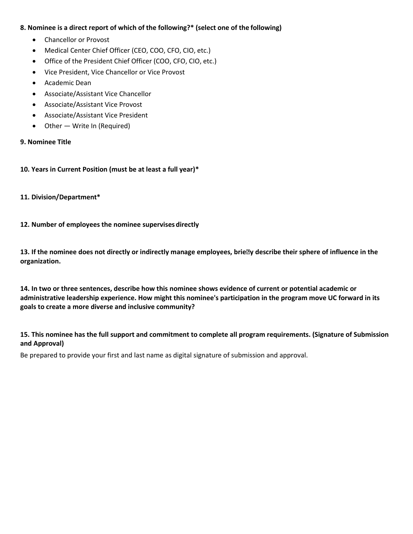#### **8. Nominee is a direct report of which of the following?\* (select one of the following)**

- Chancellor or Provost
- Medical Center Chief Officer (CEO, COO, CFO, CIO, etc.)
- Office of the President Chief Officer (COO, CFO, CIO, etc.)
- Vice President, Vice Chancellor or Vice Provost
- Academic Dean
- Associate/Assistant Vice Chancellor
- Associate/Assistant Vice Provost
- Associate/Assistant Vice President
- Other Write In (Required)

#### **9. Nominee Title**

#### **10. Years in Current Position (must be at least a full year)\***

#### **11. Division/Department\***

#### **12. Number of employees the nominee supervises directly**

**13. If the nominee does not directly or indirectly manage employees, briey describe their sphere of influence in the organization.**

**14. In two or three sentences, describe how this nominee shows evidence of current or potential academic or administrative leadership experience. How might this nominee's participation in the program move UC forward in its goals to create a more diverse and inclusive community?**

**15. This nominee has the full support and commitment to complete all program requirements. (Signature of Submission and Approval)**

Be prepared to provide your first and last name as digital signature of submission and approval.